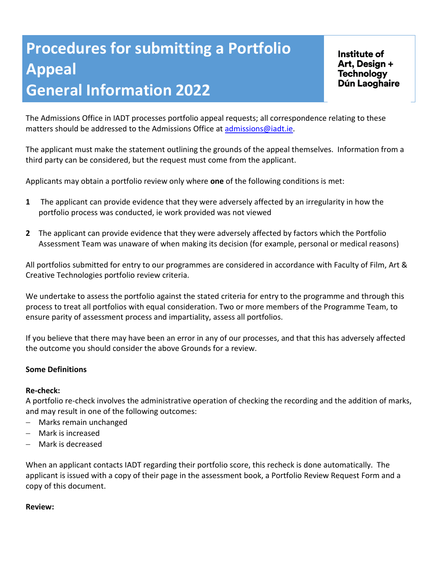# **Procedures for submitting a Portfolio Appeal General Information 2022**

Institute of Art, Design + **Technology** Dún Laoghaire

The Admissions Office in IADT processes portfolio appeal requests; all correspondence relating to these matters should be addressed to the Admissions Office at [admissions@iadt.ie.](mailto:admissions@iadt.ie)

The applicant must make the statement outlining the grounds of the appeal themselves. Information from a third party can be considered, but the request must come from the applicant.

Applicants may obtain a portfolio review only where **one** of the following conditions is met:

- **1** The applicant can provide evidence that they were adversely affected by an irregularity in how the portfolio process was conducted, ie work provided was not viewed
- **2** The applicant can provide evidence that they were adversely affected by factors which the Portfolio Assessment Team was unaware of when making its decision (for example, personal or medical reasons)

All portfolios submitted for entry to our programmes are considered in accordance with Faculty of Film, Art & Creative Technologies portfolio review criteria.

We undertake to assess the portfolio against the stated criteria for entry to the programme and through this process to treat all portfolios with equal consideration. Two or more members of the Programme Team, to ensure parity of assessment process and impartiality, assess all portfolios.

If you believe that there may have been an error in any of our processes, and that this has adversely affected the outcome you should consider the above Grounds for a review.

#### **Some Definitions**

#### **Re-check:**

A portfolio re-check involves the administrative operation of checking the recording and the addition of marks, and may result in one of the following outcomes:

- − Marks remain unchanged
- − Mark is increased
- − Mark is decreased

When an applicant contacts IADT regarding their portfolio score, this recheck is done automatically. The applicant is issued with a copy of their page in the assessment book, a Portfolio Review Request Form and a copy of this document.

#### **Review:**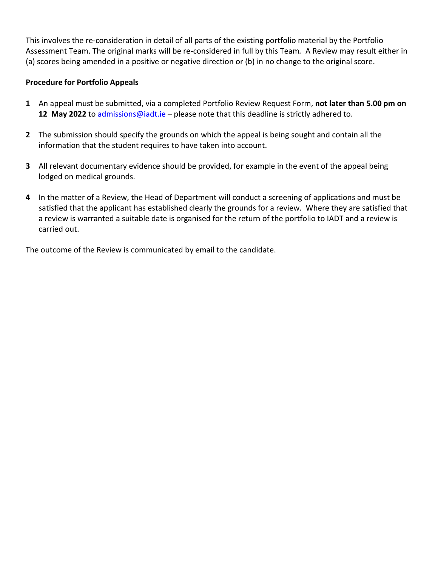This involves the re-consideration in detail of all parts of the existing portfolio material by the Portfolio Assessment Team. The original marks will be re-considered in full by this Team*.* A Review may result either in (a) scores being amended in a positive or negative direction or (b) in no change to the original score.

### **Procedure for Portfolio Appeals**

- **1** An appeal must be submitted, via a completed Portfolio Review Request Form, **not later than 5.00 pm on**  12 May 2022 to [admissions@iadt.ie](mailto:admissions@iadt.ie) - please note that this deadline is strictly adhered to.
- **2** The submission should specify the grounds on which the appeal is being sought and contain all the information that the student requires to have taken into account.
- **3** All relevant documentary evidence should be provided, for example in the event of the appeal being lodged on medical grounds.
- **4** In the matter of a Review, the Head of Department will conduct a screening of applications and must be satisfied that the applicant has established clearly the grounds for a review. Where they are satisfied that a review is warranted a suitable date is organised for the return of the portfolio to IADT and a review is carried out.

The outcome of the Review is communicated by email to the candidate.